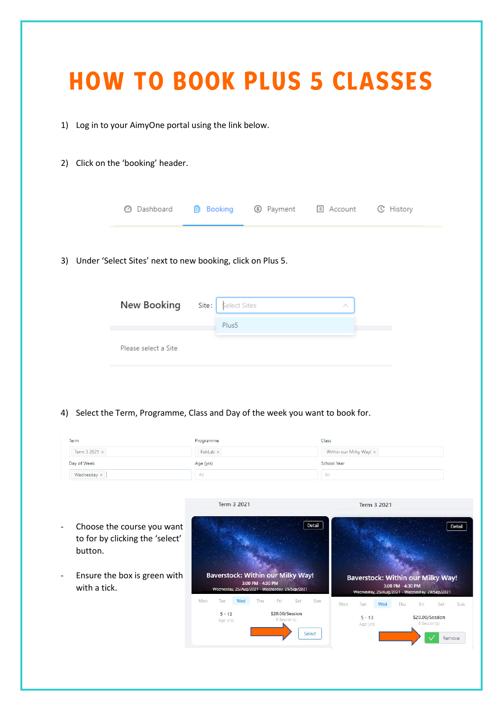|                                         |                      |                                                                                          |           | <b>HOW TO BOOK PLUS 5 CLASSES</b> |  |
|-----------------------------------------|----------------------|------------------------------------------------------------------------------------------|-----------|-----------------------------------|--|
| 1)                                      |                      | Log in to your AimyOne portal using the link below.                                      |           |                                   |  |
| Click on the 'booking' header.<br>2)    |                      |                                                                                          |           |                                   |  |
| 69                                      | Dashboard            | <b>Booking</b><br>Ð                                                                      | S Payment | <b>C</b> History<br>国 Account     |  |
| 3)                                      |                      | Under 'Select Sites' next to new booking, click on Plus 5.                               |           |                                   |  |
|                                         | <b>New Booking</b>   | Select Sites<br>Site:<br>Plus5                                                           |           | ∧                                 |  |
|                                         | Please select a Site |                                                                                          |           |                                   |  |
|                                         |                      |                                                                                          |           |                                   |  |
| Term                                    |                      | Select the Term, Programme, Class and Day of the week you want to book for.<br>Programme |           | Class                             |  |
| Term 3 2021 ×                           |                      | FabLab $\times$                                                                          |           | Within our Milky Way! X           |  |
| 4)<br>Day of Week<br>Wednesday $\times$ |                      | Age (yrs)<br>All                                                                         |           | <b>School Year</b><br>All         |  |